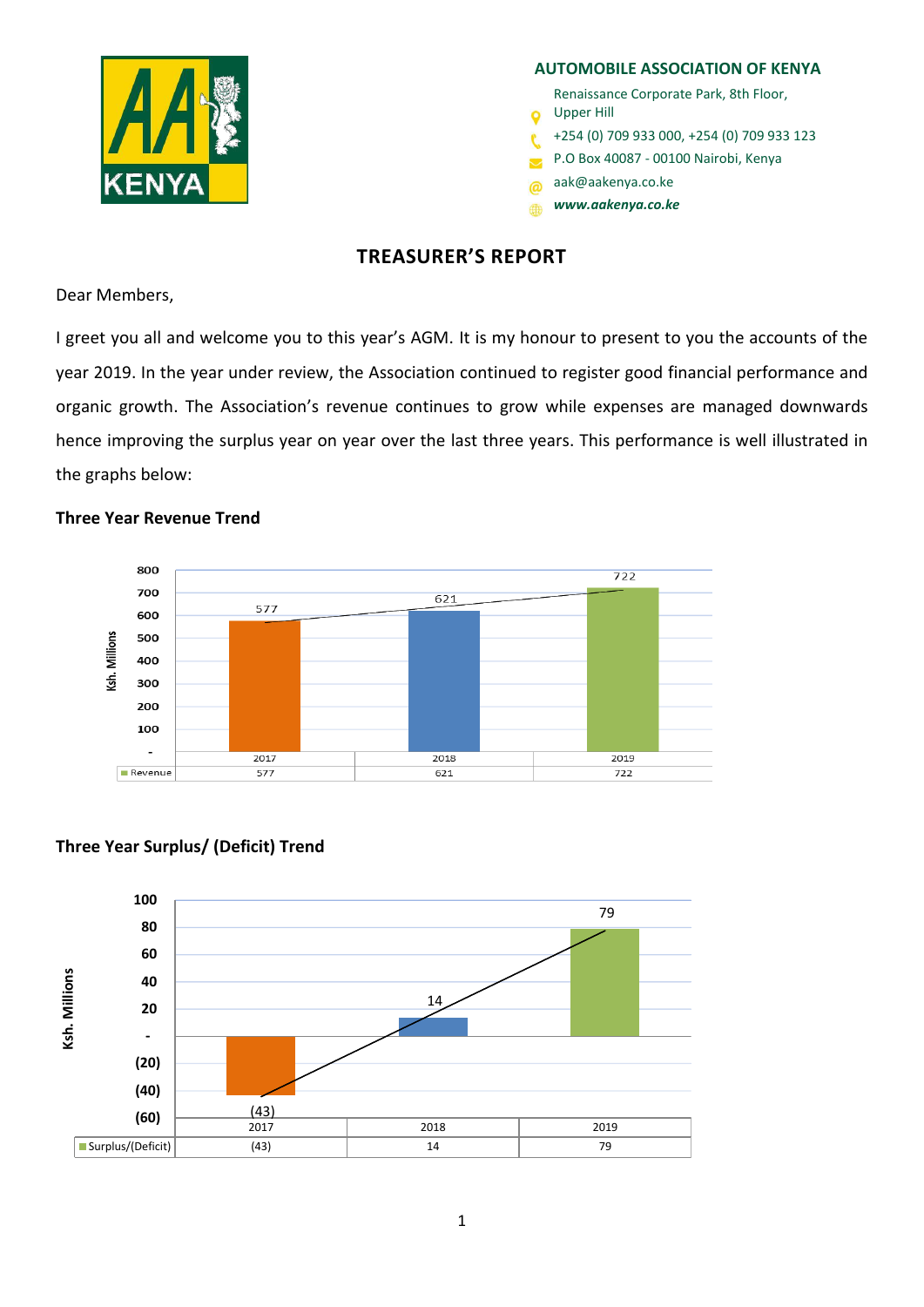

### **AUTOMOBILE ASSOCIATION OF KENYA**

Renaissance Corporate Park, 8th Floor,

- Upper Hill  $\bullet$
- +254 (0) 709 933 000, +254 (0) 709 933 123
- P.O Box 40087 00100 Nairobi, Kenya  $\overline{\mathbf{z}}$
- aak@aakenya.co.ke ര
- *www.aakenya.co.ke* 400

# **TREASURER'S REPORT**

### Dear Members,

I greet you all and welcome you to this year's AGM. It is my honour to present to you the accounts of the year 2019. In the year under review, the Association continued to register good financial performance and organic growth. The Association's revenue continues to grow while expenses are managed downwards hence improving the surplus year on year over the last three years. This performance is well illustrated in the graphs below:







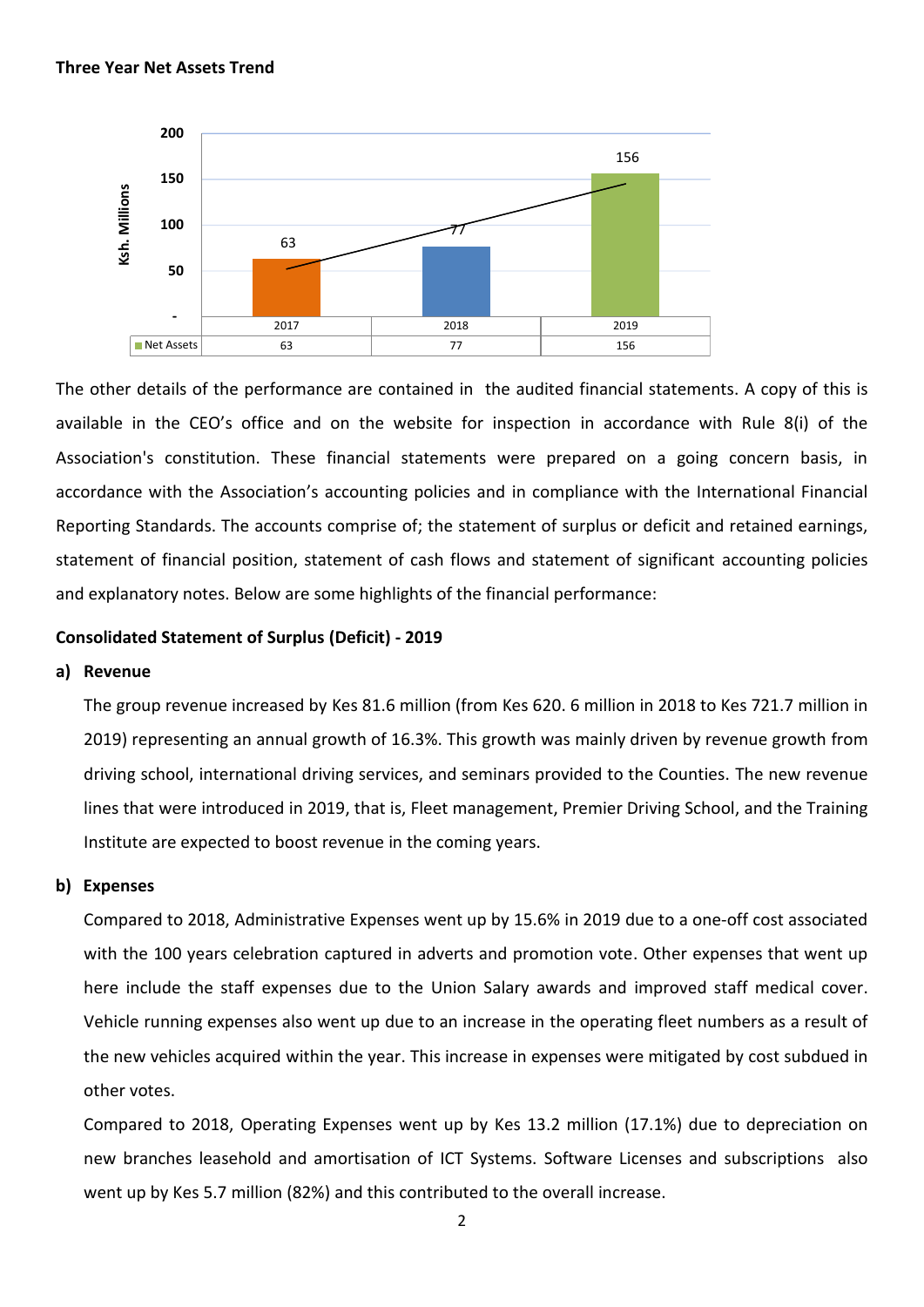

The other details of the performance are contained in the audited financial statements. A copy of this is available in the CEO's office and on the website for inspection in accordance with Rule 8(i) of the Association's constitution. These financial statements were prepared on a going concern basis, in accordance with the Association's accounting policies and in compliance with the International Financial Reporting Standards. The accounts comprise of; the statement of surplus or deficit and retained earnings, statement of financial position, statement of cash flows and statement of significant accounting policies and explanatory notes. Below are some highlights of the financial performance:

### **Consolidated Statement of Surplus (Deficit) - 2019**

#### **a) Revenue**

The group revenue increased by Kes 81.6 million (from Kes 620. 6 million in 2018 to Kes 721.7 million in 2019) representing an annual growth of 16.3%. This growth was mainly driven by revenue growth from driving school, international driving services, and seminars provided to the Counties. The new revenue lines that were introduced in 2019, that is, Fleet management, Premier Driving School, and the Training Institute are expected to boost revenue in the coming years.

#### **b) Expenses**

Compared to 2018, Administrative Expenses went up by 15.6% in 2019 due to a one-off cost associated with the 100 years celebration captured in adverts and promotion vote. Other expenses that went up here include the staff expenses due to the Union Salary awards and improved staff medical cover. Vehicle running expenses also went up due to an increase in the operating fleet numbers as a result of the new vehicles acquired within the year. This increase in expenses were mitigated by cost subdued in other votes.

Compared to 2018, Operating Expenses went up by Kes 13.2 million (17.1%) due to depreciation on new branches leasehold and amortisation of ICT Systems. Software Licenses and subscriptions also went up by Kes 5.7 million (82%) and this contributed to the overall increase.